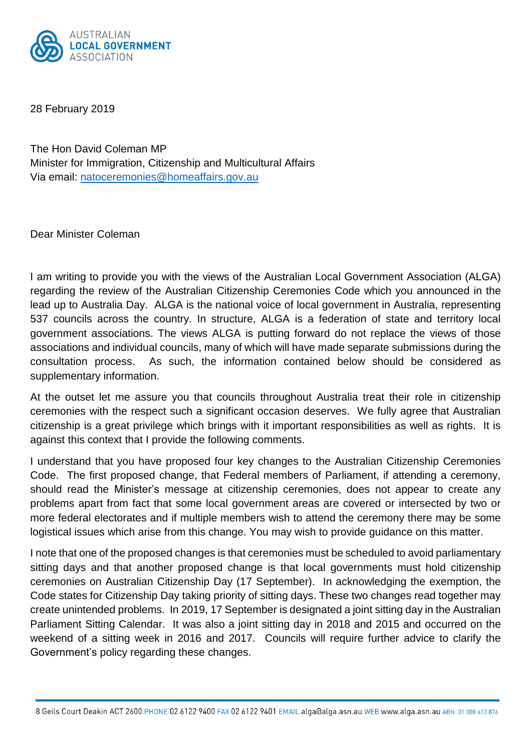

28 February 2019

The Hon David Coleman MP Minister for Immigration, Citizenship and Multicultural Affairs Via email: [natoceremonies@homeaffairs.gov.au](mailto:natoceremonies@homeaffairs.gov.au)

Dear Minister Coleman

I am writing to provide you with the views of the Australian Local Government Association (ALGA) regarding the review of the Australian Citizenship Ceremonies Code which you announced in the lead up to Australia Day. ALGA is the national voice of local government in Australia, representing 537 councils across the country. In structure, ALGA is a federation of state and territory local government associations. The views ALGA is putting forward do not replace the views of those associations and individual councils, many of which will have made separate submissions during the consultation process. As such, the information contained below should be considered as supplementary information.

At the outset let me assure you that councils throughout Australia treat their role in citizenship ceremonies with the respect such a significant occasion deserves. We fully agree that Australian citizenship is a great privilege which brings with it important responsibilities as well as rights. It is against this context that I provide the following comments.

I understand that you have proposed four key changes to the Australian Citizenship Ceremonies Code. The first proposed change, that Federal members of Parliament, if attending a ceremony, should read the Minister's message at citizenship ceremonies, does not appear to create any problems apart from fact that some local government areas are covered or intersected by two or more federal electorates and if multiple members wish to attend the ceremony there may be some logistical issues which arise from this change. You may wish to provide guidance on this matter.

I note that one of the proposed changes is that ceremonies must be scheduled to avoid parliamentary sitting days and that another proposed change is that local governments must hold citizenship ceremonies on Australian Citizenship Day (17 September). In acknowledging the exemption, the Code states for Citizenship Day taking priority of sitting days. These two changes read together may create unintended problems. In 2019, 17 September is designated a joint sitting day in the Australian Parliament Sitting Calendar. It was also a joint sitting day in 2018 and 2015 and occurred on the weekend of a sitting week in 2016 and 2017. Councils will require further advice to clarify the Government's policy regarding these changes.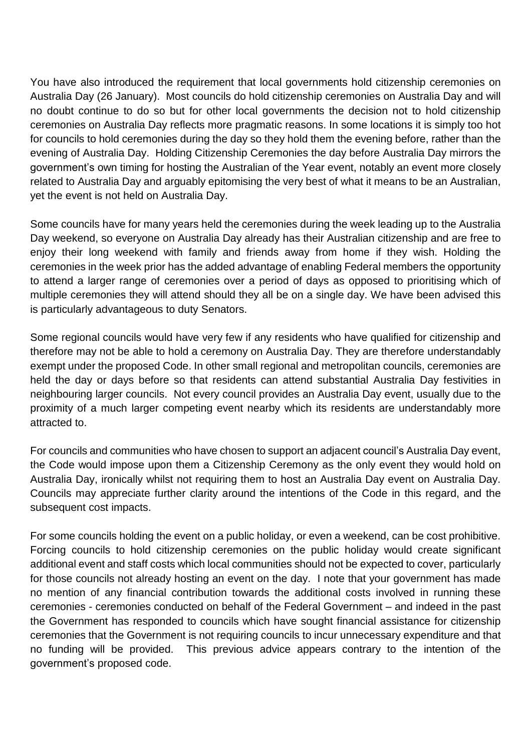You have also introduced the requirement that local governments hold citizenship ceremonies on Australia Day (26 January). Most councils do hold citizenship ceremonies on Australia Day and will no doubt continue to do so but for other local governments the decision not to hold citizenship ceremonies on Australia Day reflects more pragmatic reasons. In some locations it is simply too hot for councils to hold ceremonies during the day so they hold them the evening before, rather than the evening of Australia Day. Holding Citizenship Ceremonies the day before Australia Day mirrors the government's own timing for hosting the Australian of the Year event, notably an event more closely related to Australia Day and arguably epitomising the very best of what it means to be an Australian, yet the event is not held on Australia Day.

Some councils have for many years held the ceremonies during the week leading up to the Australia Day weekend, so everyone on Australia Day already has their Australian [citizenship](https://www.theguardian.com/australia-news/australian-citizenship) and are free to enjoy their long weekend with family and friends away from home if they wish. Holding the ceremonies in the week prior has the added advantage of enabling Federal members the opportunity to attend a larger range of ceremonies over a period of days as opposed to prioritising which of multiple ceremonies they will attend should they all be on a single day. We have been advised this is particularly advantageous to duty Senators.

Some regional councils would have very few if any residents who have qualified for citizenship and therefore may not be able to hold a ceremony on Australia Day. They are therefore understandably exempt under the proposed Code. In other small regional and metropolitan councils, ceremonies are held the day or days before so that residents can attend substantial Australia Day festivities in neighbouring larger councils. Not every council provides an Australia Day event, usually due to the proximity of a much larger competing event nearby which its residents are understandably more attracted to.

For councils and communities who have chosen to support an adjacent council's Australia Day event, the Code would impose upon them a Citizenship Ceremony as the only event they would hold on Australia Day, ironically whilst not requiring them to host an Australia Day event on Australia Day. Councils may appreciate further clarity around the intentions of the Code in this regard, and the subsequent cost impacts.

For some councils holding the event on a public holiday, or even a weekend, can be cost prohibitive. Forcing councils to hold citizenship ceremonies on the public holiday would create significant additional event and staff costs which local communities should not be expected to cover, particularly for those councils not already hosting an event on the day. I note that your government has made no mention of any financial contribution towards the additional costs involved in running these ceremonies - ceremonies conducted on behalf of the Federal Government – and indeed in the past the Government has responded to councils which have sought financial assistance for citizenship ceremonies that the Government is not requiring councils to incur unnecessary expenditure and that no funding will be provided. This previous advice appears contrary to the intention of the government's proposed code.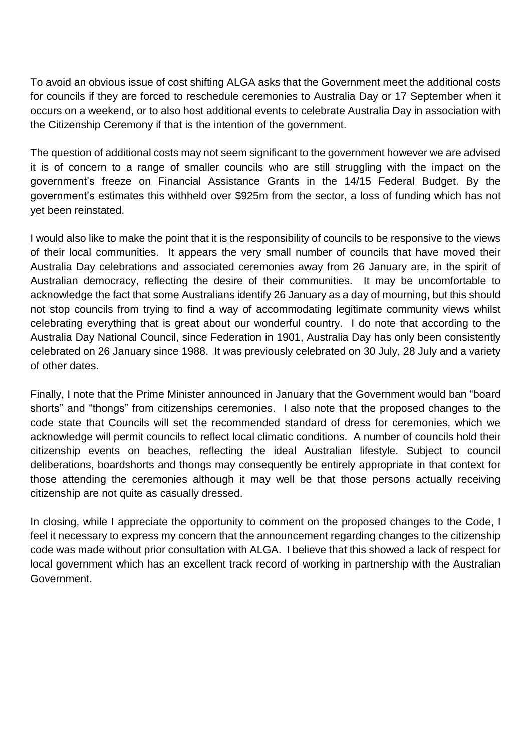To avoid an obvious issue of cost shifting ALGA asks that the Government meet the additional costs for councils if they are forced to reschedule ceremonies to Australia Day or 17 September when it occurs on a weekend, or to also host additional events to celebrate Australia Day in association with the Citizenship Ceremony if that is the intention of the government.

The question of additional costs may not seem significant to the government however we are advised it is of concern to a range of smaller councils who are still struggling with the impact on the government's freeze on Financial Assistance Grants in the 14/15 Federal Budget. By the government's estimates this withheld over \$925m from the sector, a loss of funding which has not yet been reinstated.

I would also like to make the point that it is the responsibility of councils to be responsive to the views of their local communities. It appears the very small number of councils that have moved their Australia Day celebrations and associated ceremonies away from 26 January are, in the spirit of Australian democracy, reflecting the desire of their communities. It may be uncomfortable to acknowledge the fact that some Australians identify 26 January as a day of mourning, but this should not stop councils from trying to find a way of accommodating legitimate community views whilst celebrating everything that is great about our wonderful country. I do note that according to the Australia Day National Council, since Federation in 1901, Australia Day has only been consistently celebrated on 26 January since [1988.](https://www.australiaday.org.au/about-australia-day/history/) It was previously celebrated on 30 [July,](https://trove.nla.gov.au/newspaper/article/28111201?searchTerm=australia%2520day%2520july%252030&searchLimits=l-title=35) 28 July and a variety of other dates.

Finally, I note that the Prime Minister announced in January that the Government would ban "board shorts" and "thongs" from citizenships ceremonies. I also note that the proposed changes to the code state that Councils will set the recommended standard of dress for ceremonies, which we acknowledge will permit councils to reflect local climatic conditions. A number of councils hold their citizenship events on beaches, reflecting the ideal Australian lifestyle. Subject to council deliberations, boardshorts and thongs may consequently be entirely appropriate in that context for those attending the ceremonies although it may well be that those persons actually receiving citizenship are not quite as casually dressed.

In closing, while I appreciate the opportunity to comment on the proposed changes to the Code, I feel it necessary to express my concern that the announcement regarding changes to the citizenship code was made without prior consultation with ALGA. I believe that this showed a lack of respect for local government which has an excellent track record of working in partnership with the Australian Government.